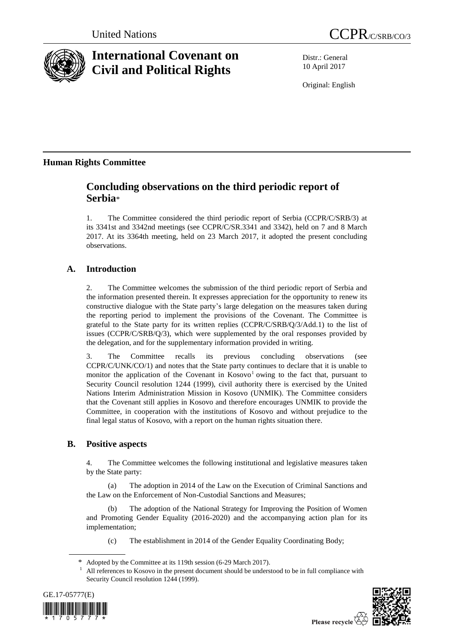

# **International Covenant on Civil and Political Rights**

Distr.: General 10 April 2017

Original: English

# **Human Rights Committee**

# **Concluding observations on the third periodic report of Serbia**\*

1. The Committee considered the third periodic report of Serbia (CCPR/C/SRB/3) at its 3341st and 3342nd meetings (see CCPR/C/SR.3341 and 3342), held on 7 and 8 March 2017. At its 3364th meeting, held on 23 March 2017, it adopted the present concluding observations.

# **A. Introduction**

2. The Committee welcomes the submission of the third periodic report of Serbia and the information presented therein. It expresses appreciation for the opportunity to renew its constructive dialogue with the State party's large delegation on the measures taken during the reporting period to implement the provisions of the Covenant. The Committee is grateful to the State party for its written replies (CCPR/C/SRB/Q/3/Add.1) to the list of issues (CCPR/C/SRB/Q/3), which were supplemented by the oral responses provided by the delegation, and for the supplementary information provided in writing.

3. The Committee recalls its previous concluding observations (see CCPR/C/UNK/CO/1) and notes that the State party continues to declare that it is unable to monitor the application of the Covenant in Kosovo<sup>1</sup> owing to the fact that, pursuant to Security Council resolution 1244 (1999), civil authority there is exercised by the United Nations Interim Administration Mission in Kosovo (UNMIK). The Committee considers that the Covenant still applies in Kosovo and therefore encourages UNMIK to provide the Committee, in cooperation with the institutions of Kosovo and without prejudice to the final legal status of Kosovo, with a report on the human rights situation there.

# **B. Positive aspects**

4. The Committee welcomes the following institutional and legislative measures taken by the State party:

(a) The adoption in 2014 of the Law on the Execution of Criminal Sanctions and the Law on the Enforcement of Non-Custodial Sanctions and Measures;

(b) The adoption of the National Strategy for Improving the Position of Women and Promoting Gender Equality (2016-2020) and the accompanying action plan for its implementation;

(c) The establishment in 2014 of the Gender Equality Coordinating Body;

<sup>1</sup> All references to Kosovo in the present document should be understood to be in full compliance with Security Council resolution 1244 (1999).





Please recycle  $\overline{\mathfrak{C}}$ 

Adopted by the Committee at its 119th session (6-29 March 2017).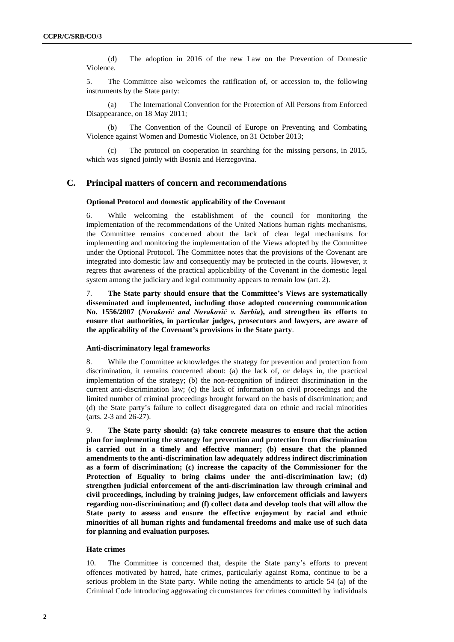(d) The adoption in 2016 of the new Law on the Prevention of Domestic Violence.

5. The Committee also welcomes the ratification of, or accession to, the following instruments by the State party:

(a) The International Convention for the Protection of All Persons from Enforced Disappearance, on 18 May 2011;

(b) The Convention of the Council of Europe on Preventing and Combating Violence against Women and Domestic Violence, on 31 October 2013;

(c) The protocol on cooperation in searching for the missing persons, in 2015, which was signed jointly with Bosnia and Herzegovina.

# **C. Principal matters of concern and recommendations**

#### **Optional Protocol and domestic applicability of the Covenant**

6. While welcoming the establishment of the council for monitoring the implementation of the recommendations of the United Nations human rights mechanisms, the Committee remains concerned about the lack of clear legal mechanisms for implementing and monitoring the implementation of the Views adopted by the Committee under the Optional Protocol. The Committee notes that the provisions of the Covenant are integrated into domestic law and consequently may be protected in the courts. However, it regrets that awareness of the practical applicability of the Covenant in the domestic legal system among the judiciary and legal community appears to remain low (art. 2).

7. **The State party should ensure that the Committee's Views are systematically disseminated and implemented, including those adopted concerning communication No. 1556/2007 (***Novaković and Novaković v. Serbia***), and strengthen its efforts to ensure that authorities, in particular judges, prosecutors and lawyers, are aware of the applicability of the Covenant's provisions in the State party**.

#### **Anti-discriminatory legal frameworks**

8. While the Committee acknowledges the strategy for prevention and protection from discrimination, it remains concerned about: (a) the lack of, or delays in, the practical implementation of the strategy; (b) the non-recognition of indirect discrimination in the current anti-discrimination law; (c) the lack of information on civil proceedings and the limited number of criminal proceedings brought forward on the basis of discrimination; and (d) the State party's failure to collect disaggregated data on ethnic and racial minorities (arts. 2-3 and 26-27).

9. **The State party should: (a) take concrete measures to ensure that the action plan for implementing the strategy for prevention and protection from discrimination is carried out in a timely and effective manner; (b) ensure that the planned amendments to the anti-discrimination law adequately address indirect discrimination as a form of discrimination; (c) increase the capacity of the Commissioner for the Protection of Equality to bring claims under the anti-discrimination law; (d) strengthen judicial enforcement of the anti-discrimination law through criminal and civil proceedings, including by training judges, law enforcement officials and lawyers regarding non-discrimination; and (f) collect data and develop tools that will allow the State party to assess and ensure the effective enjoyment by racial and ethnic minorities of all human rights and fundamental freedoms and make use of such data for planning and evaluation purposes.**

#### **Hate crimes**

10. The Committee is concerned that, despite the State party's efforts to prevent offences motivated by hatred, hate crimes, particularly against Roma, continue to be a serious problem in the State party. While noting the amendments to article 54 (a) of the Criminal Code introducing aggravating circumstances for crimes committed by individuals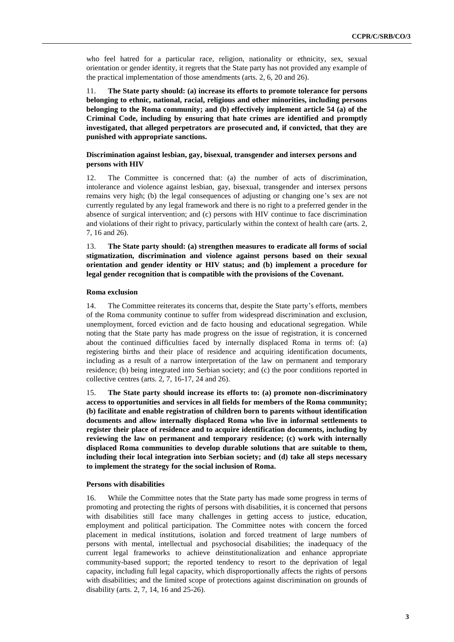who feel hatred for a particular race, religion, nationality or ethnicity, sex, sexual orientation or gender identity, it regrets that the State party has not provided any example of the practical implementation of those amendments (arts. 2, 6, 20 and 26).

11. **The State party should: (a) increase its efforts to promote tolerance for persons belonging to ethnic, national, racial, religious and other minorities, including persons belonging to the Roma community; and (b) effectively implement article 54 (a) of the Criminal Code, including by ensuring that hate crimes are identified and promptly investigated, that alleged perpetrators are prosecuted and, if convicted, that they are punished with appropriate sanctions.** 

# **Discrimination against lesbian, gay, bisexual, transgender and intersex persons and persons with HIV**

12. The Committee is concerned that: (a) the number of acts of discrimination, intolerance and violence against lesbian, gay, bisexual, transgender and intersex persons remains very high; (b) the legal consequences of adjusting or changing one's sex are not currently regulated by any legal framework and there is no right to a preferred gender in the absence of surgical intervention; and (c) persons with HIV continue to face discrimination and violations of their right to privacy, particularly within the context of health care (arts. 2, 7, 16 and 26).

13. **The State party should: (a) strengthen measures to eradicate all forms of social stigmatization, discrimination and violence against persons based on their sexual orientation and gender identity or HIV status; and (b) implement a procedure for legal gender recognition that is compatible with the provisions of the Covenant.**

#### **Roma exclusion**

14. The Committee reiterates its concerns that, despite the State party's efforts, members of the Roma community continue to suffer from widespread discrimination and exclusion, unemployment, forced eviction and de facto housing and educational segregation. While noting that the State party has made progress on the issue of registration, it is concerned about the continued difficulties faced by internally displaced Roma in terms of: (a) registering births and their place of residence and acquiring identification documents, including as a result of a narrow interpretation of the law on permanent and temporary residence; (b) being integrated into Serbian society; and (c) the poor conditions reported in collective centres (arts. 2, 7, 16-17, 24 and 26).

15. **The State party should increase its efforts to: (a) promote non-discriminatory access to opportunities and services in all fields for members of the Roma community; (b) facilitate and enable registration of children born to parents without identification documents and allow internally displaced Roma who live in informal settlements to register their place of residence and to acquire identification documents, including by reviewing the law on permanent and temporary residence; (c) work with internally displaced Roma communities to develop durable solutions that are suitable to them, including their local integration into Serbian society; and (d) take all steps necessary to implement the strategy for the social inclusion of Roma.** 

#### **Persons with disabilities**

16. While the Committee notes that the State party has made some progress in terms of promoting and protecting the rights of persons with disabilities, it is concerned that persons with disabilities still face many challenges in getting access to justice, education, employment and political participation. The Committee notes with concern the forced placement in medical institutions, isolation and forced treatment of large numbers of persons with mental, intellectual and psychosocial disabilities; the inadequacy of the current legal frameworks to achieve deinstitutionalization and enhance appropriate community-based support; the reported tendency to resort to the deprivation of legal capacity, including full legal capacity, which disproportionally affects the rights of persons with disabilities; and the limited scope of protections against discrimination on grounds of disability (arts. 2, 7, 14, 16 and 25-26).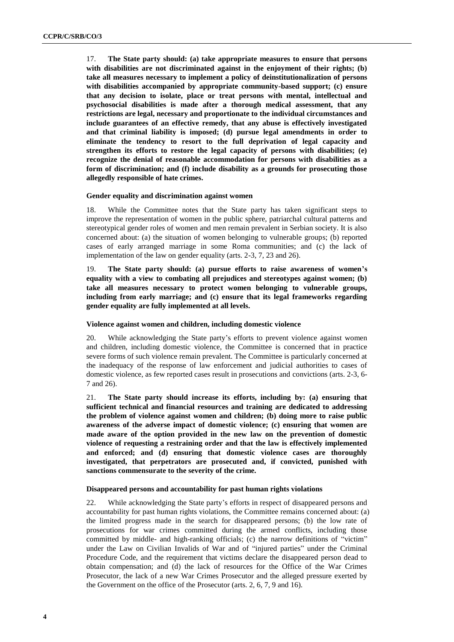17. **The State party should: (a) take appropriate measures to ensure that persons with disabilities are not discriminated against in the enjoyment of their rights; (b) take all measures necessary to implement a policy of deinstitutionalization of persons with disabilities accompanied by appropriate community-based support; (c) ensure that any decision to isolate, place or treat persons with mental, intellectual and psychosocial disabilities is made after a thorough medical assessment, that any restrictions are legal, necessary and proportionate to the individual circumstances and include guarantees of an effective remedy, that any abuse is effectively investigated and that criminal liability is imposed; (d) pursue legal amendments in order to eliminate the tendency to resort to the full deprivation of legal capacity and strengthen its efforts to restore the legal capacity of persons with disabilities; (e) recognize the denial of reasonable accommodation for persons with disabilities as a form of discrimination; and (f) include disability as a grounds for prosecuting those allegedly responsible of hate crimes.** 

## **Gender equality and discrimination against women**

18. While the Committee notes that the State party has taken significant steps to improve the representation of women in the public sphere, patriarchal cultural patterns and stereotypical gender roles of women and men remain prevalent in Serbian society. It is also concerned about: (a) the situation of women belonging to vulnerable groups; (b) reported cases of early arranged marriage in some Roma communities; and (c) the lack of implementation of the law on gender equality (arts. 2-3, 7, 23 and 26).

19. **The State party should: (a) pursue efforts to raise awareness of women's equality with a view to combating all prejudices and stereotypes against women; (b) take all measures necessary to protect women belonging to vulnerable groups, including from early marriage; and (c) ensure that its legal frameworks regarding gender equality are fully implemented at all levels.**

#### **Violence against women and children, including domestic violence**

20. While acknowledging the State party's efforts to prevent violence against women and children, including domestic violence, the Committee is concerned that in practice severe forms of such violence remain prevalent. The Committee is particularly concerned at the inadequacy of the response of law enforcement and judicial authorities to cases of domestic violence, as few reported cases result in prosecutions and convictions (arts. 2-3, 6- 7 and 26).

21. **The State party should increase its efforts, including by: (a) ensuring that sufficient technical and financial resources and training are dedicated to addressing the problem of violence against women and children; (b) doing more to raise public awareness of the adverse impact of domestic violence; (c) ensuring that women are made aware of the option provided in the new law on the prevention of domestic violence of requesting a restraining order and that the law is effectively implemented and enforced; and (d) ensuring that domestic violence cases are thoroughly investigated, that perpetrators are prosecuted and, if convicted, punished with sanctions commensurate to the severity of the crime.**

#### **Disappeared persons and accountability for past human rights violations**

22. While acknowledging the State party's efforts in respect of disappeared persons and accountability for past human rights violations, the Committee remains concerned about: (a) the limited progress made in the search for disappeared persons; (b) the low rate of prosecutions for war crimes committed during the armed conflicts, including those committed by middle- and high-ranking officials; (c) the narrow definitions of "victim" under the Law on Civilian Invalids of War and of "injured parties" under the Criminal Procedure Code, and the requirement that victims declare the disappeared person dead to obtain compensation; and (d) the lack of resources for the Office of the War Crimes Prosecutor, the lack of a new War Crimes Prosecutor and the alleged pressure exerted by the Government on the office of the Prosecutor (arts. 2, 6, 7, 9 and 16).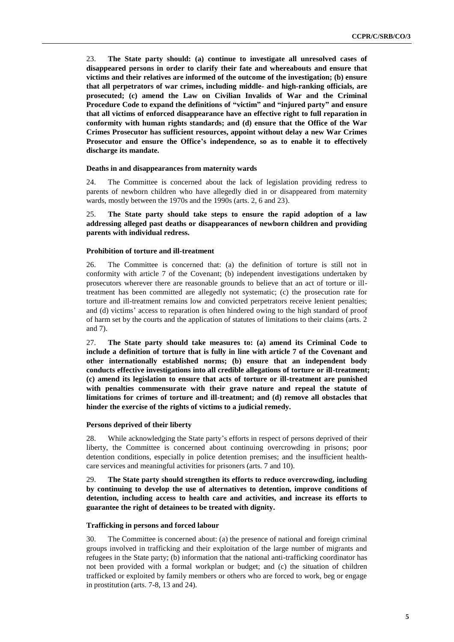23. **The State party should: (a) continue to investigate all unresolved cases of disappeared persons in order to clarify their fate and whereabouts and ensure that victims and their relatives are informed of the outcome of the investigation; (b) ensure that all perpetrators of war crimes, including middle- and high-ranking officials, are prosecuted; (c) amend the Law on Civilian Invalids of War and the Criminal Procedure Code to expand the definitions of "victim" and "injured party" and ensure that all victims of enforced disappearance have an effective right to full reparation in conformity with human rights standards; and (d) ensure that the Office of the War Crimes Prosecutor has sufficient resources, appoint without delay a new War Crimes Prosecutor and ensure the Office's independence, so as to enable it to effectively discharge its mandate.**

#### **Deaths in and disappearances from maternity wards**

24. The Committee is concerned about the lack of legislation providing redress to parents of newborn children who have allegedly died in or disappeared from maternity wards, mostly between the 1970s and the 1990s (arts. 2, 6 and 23).

25. **The State party should take steps to ensure the rapid adoption of a law addressing alleged past deaths or disappearances of newborn children and providing parents with individual redress.**

#### **Prohibition of torture and ill-treatment**

26. The Committee is concerned that: (a) the definition of torture is still not in conformity with article 7 of the Covenant; (b) independent investigations undertaken by prosecutors wherever there are reasonable grounds to believe that an act of torture or illtreatment has been committed are allegedly not systematic; (c) the prosecution rate for torture and ill-treatment remains low and convicted perpetrators receive lenient penalties; and (d) victims' access to reparation is often hindered owing to the high standard of proof of harm set by the courts and the application of statutes of limitations to their claims (arts. 2 and 7).

27. **The State party should take measures to: (a) amend its Criminal Code to include a definition of torture that is fully in line with article 7 of the Covenant and other internationally established norms; (b) ensure that an independent body conducts effective investigations into all credible allegations of torture or ill-treatment; (c) amend its legislation to ensure that acts of torture or ill-treatment are punished with penalties commensurate with their grave nature and repeal the statute of limitations for crimes of torture and ill-treatment; and (d) remove all obstacles that hinder the exercise of the rights of victims to a judicial remedy.**

#### **Persons deprived of their liberty**

28. While acknowledging the State party's efforts in respect of persons deprived of their liberty, the Committee is concerned about continuing overcrowding in prisons; poor detention conditions, especially in police detention premises; and the insufficient healthcare services and meaningful activities for prisoners (arts. 7 and 10).

29. **The State party should strengthen its efforts to reduce overcrowding, including by continuing to develop the use of alternatives to detention, improve conditions of detention, including access to health care and activities, and increase its efforts to guarantee the right of detainees to be treated with dignity.**

#### **Trafficking in persons and forced labour**

30. The Committee is concerned about: (a) the presence of national and foreign criminal groups involved in trafficking and their exploitation of the large number of migrants and refugees in the State party; (b) information that the national anti-trafficking coordinator has not been provided with a formal workplan or budget; and (c) the situation of children trafficked or exploited by family members or others who are forced to work, beg or engage in prostitution (arts. 7-8, 13 and 24).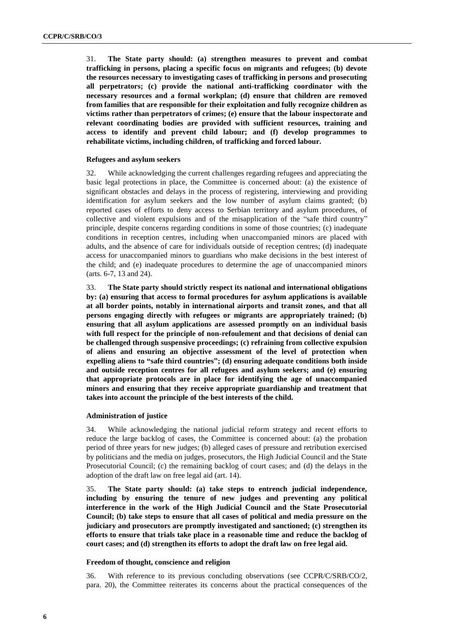31. **The State party should: (a) strengthen measures to prevent and combat trafficking in persons, placing a specific focus on migrants and refugees; (b) devote the resources necessary to investigating cases of trafficking in persons and prosecuting all perpetrators; (c) provide the national anti-trafficking coordinator with the necessary resources and a formal workplan; (d) ensure that children are removed from families that are responsible for their exploitation and fully recognize children as victims rather than perpetrators of crimes; (e) ensure that the labour inspectorate and relevant coordinating bodies are provided with sufficient resources, training and access to identify and prevent child labour; and (f) develop programmes to rehabilitate victims, including children, of trafficking and forced labour.** 

## **Refugees and asylum seekers**

32. While acknowledging the current challenges regarding refugees and appreciating the basic legal protections in place, the Committee is concerned about: (a) the existence of significant obstacles and delays in the process of registering, interviewing and providing identification for asylum seekers and the low number of asylum claims granted; (b) reported cases of efforts to deny access to Serbian territory and asylum procedures, of collective and violent expulsions and of the misapplication of the "safe third country" principle, despite concerns regarding conditions in some of those countries; (c) inadequate conditions in reception centres, including when unaccompanied minors are placed with adults, and the absence of care for individuals outside of reception centres; (d) inadequate access for unaccompanied minors to guardians who make decisions in the best interest of the child; and (e) inadequate procedures to determine the age of unaccompanied minors (arts. 6-7, 13 and 24).

33. **The State party should strictly respect its national and international obligations by: (a) ensuring that access to formal procedures for asylum applications is available at all border points, notably in international airports and transit zones, and that all persons engaging directly with refugees or migrants are appropriately trained; (b) ensuring that all asylum applications are assessed promptly on an individual basis with full respect for the principle of non-refoulement and that decisions of denial can be challenged through suspensive proceedings; (c) refraining from collective expulsion of aliens and ensuring an objective assessment of the level of protection when expelling aliens to "safe third countries"; (d) ensuring adequate conditions both inside and outside reception centres for all refugees and asylum seekers; and (e) ensuring that appropriate protocols are in place for identifying the age of unaccompanied minors and ensuring that they receive appropriate guardianship and treatment that takes into account the principle of the best interests of the child.**

## **Administration of justice**

34. While acknowledging the national judicial reform strategy and recent efforts to reduce the large backlog of cases, the Committee is concerned about: (a) the probation period of three years for new judges; (b) alleged cases of pressure and retribution exercised by politicians and the media on judges, prosecutors, the High Judicial Council and the State Prosecutorial Council; (c) the remaining backlog of court cases; and (d) the delays in the adoption of the draft law on free legal aid (art. 14).

35. **The State party should: (a) take steps to entrench judicial independence, including by ensuring the tenure of new judges and preventing any political interference in the work of the High Judicial Council and the State Prosecutorial Council; (b) take steps to ensure that all cases of political and media pressure on the judiciary and prosecutors are promptly investigated and sanctioned; (c) strengthen its efforts to ensure that trials take place in a reasonable time and reduce the backlog of court cases; and (d) strengthen its efforts to adopt the draft law on free legal aid.**

## **Freedom of thought, conscience and religion**

36. With reference to its previous concluding observations (see CCPR/C/SRB/CO/2, para. 20), the Committee reiterates its concerns about the practical consequences of the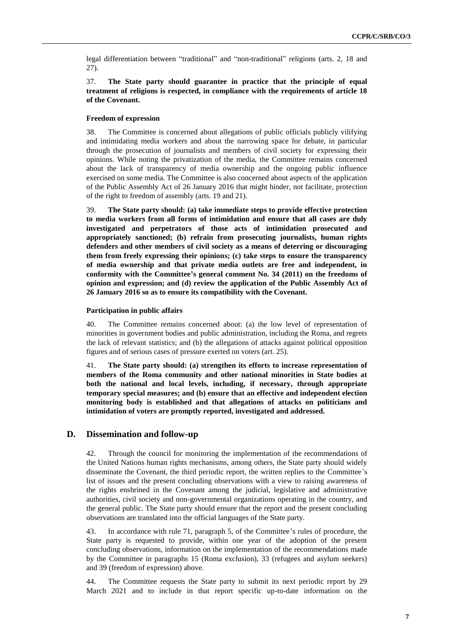legal differentiation between "traditional" and "non-traditional" religions (arts. 2, 18 and 27).

# 37. **The State party should guarantee in practice that the principle of equal treatment of religions is respected, in compliance with the requirements of article 18 of the Covenant.**

#### **Freedom of expression**

38. The Committee is concerned about allegations of public officials publicly vilifying and intimidating media workers and about the narrowing space for debate, in particular through the prosecution of journalists and members of civil society for expressing their opinions. While noting the privatization of the media, the Committee remains concerned about the lack of transparency of media ownership and the ongoing public influence exercised on some media. The Committee is also concerned about aspects of the application of the Public Assembly Act of 26 January 2016 that might hinder, not facilitate, protection of the right to freedom of assembly (arts. 19 and 21).

39. **The State party should: (a) take immediate steps to provide effective protection to media workers from all forms of intimidation and ensure that all cases are duly investigated and perpetrators of those acts of intimidation prosecuted and appropriately sanctioned; (b) refrain from prosecuting journalists, human rights defenders and other members of civil society as a means of deterring or discouraging them from freely expressing their opinions; (c) take steps to ensure the transparency of media ownership and that private media outlets are free and independent, in conformity with the Committee's general comment No. 34 (2011) on the freedoms of opinion and expression; and (d) review the application of the Public Assembly Act of 26 January 2016 so as to ensure its compatibility with the Covenant.**

#### **Participation in public affairs**

40. The Committee remains concerned about: (a) the low level of representation of minorities in government bodies and public administration, including the Roma, and regrets the lack of relevant statistics; and (b) the allegations of attacks against political opposition figures and of serious cases of pressure exerted on voters (art. 25).

41. **The State party should: (a) strengthen its efforts to increase representation of members of the Roma community and other national minorities in State bodies at both the national and local levels, including, if necessary, through appropriate temporary special measures; and (b) ensure that an effective and independent election monitoring body is established and that allegations of attacks on politicians and intimidation of voters are promptly reported, investigated and addressed.**

## **D. Dissemination and follow-up**

42. Through the council for monitoring the implementation of the recommendations of the United Nations human rights mechanisms, among others, the State party should widely disseminate the Covenant, the third periodic report, the written replies to the Committee's list of issues and the present concluding observations with a view to raising awareness of the rights enshrined in the Covenant among the judicial, legislative and administrative authorities, civil society and non-governmental organizations operating in the country, and the general public. The State party should ensure that the report and the present concluding observations are translated into the official languages of the State party.

43. In accordance with rule 71, paragraph 5, of the Committee's rules of procedure, the State party is requested to provide, within one year of the adoption of the present concluding observations, information on the implementation of the recommendations made by the Committee in paragraphs 15 (Roma exclusion), 33 (refugees and asylum seekers) and 39 (freedom of expression) above.

44. The Committee requests the State party to submit its next periodic report by 29 March 2021 and to include in that report specific up-to-date information on the